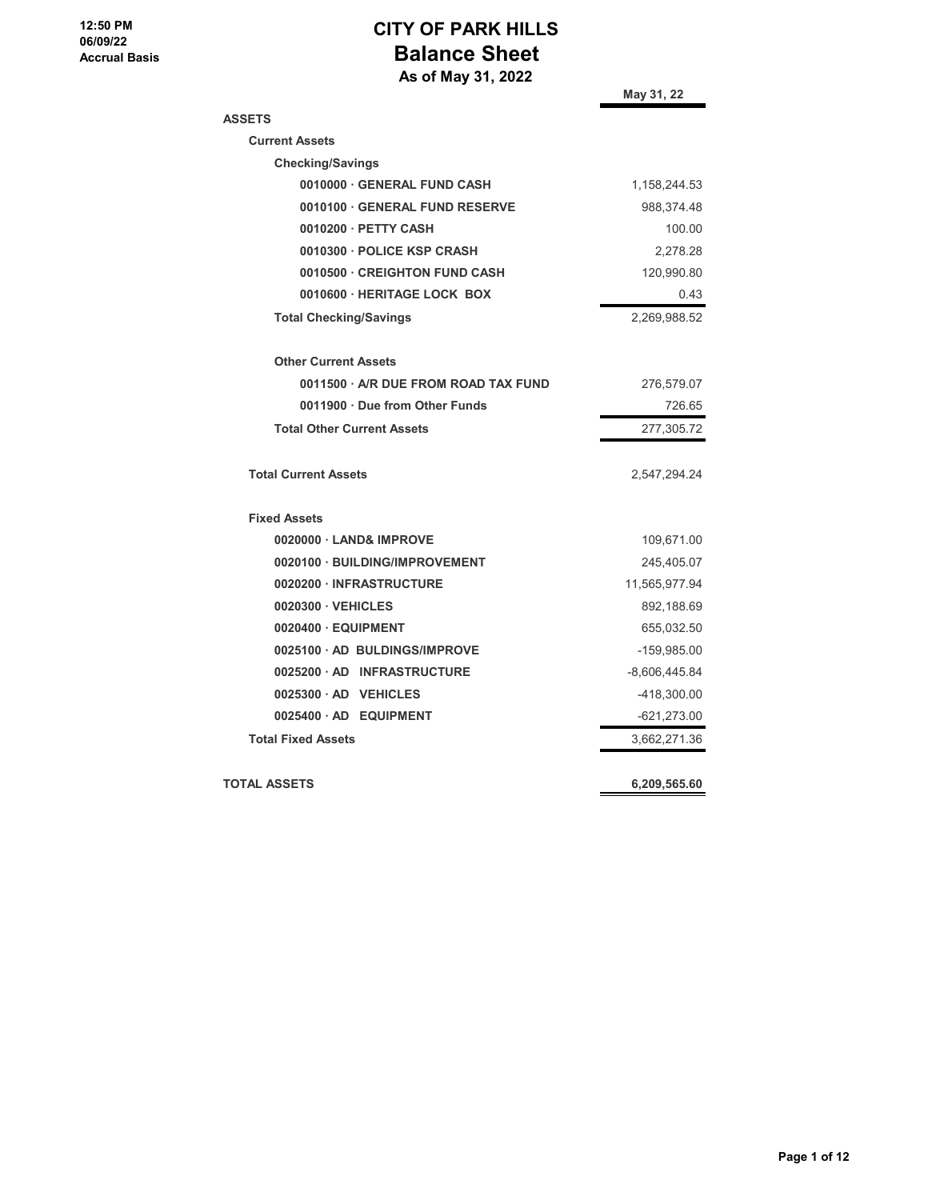# **CITY OF PARK HILLS Balance Sheet**

 **As of May 31, 2022**

|                                    | May 31, 22    |
|------------------------------------|---------------|
| <b>ASSETS</b>                      |               |
| <b>Current Assets</b>              |               |
| <b>Checking/Savings</b>            |               |
| 0010000 GENERAL FUND CASH          | 1,158,244.53  |
| 0010100 GENERAL FUND RESERVE       | 988,374.48    |
| 0010200 PETTY CASH                 | 100.00        |
| 0010300 · POLICE KSP CRASH         | 2,278.28      |
| 0010500 · CREIGHTON FUND CASH      | 120,990.80    |
| 0010600 · HERITAGE LOCK BOX        | 0.43          |
| <b>Total Checking/Savings</b>      | 2,269,988.52  |
| <b>Other Current Assets</b>        |               |
| 0011500 A/R DUE FROM ROAD TAX FUND | 276,579.07    |
| 0011900 Due from Other Funds       | 726.65        |
| <b>Total Other Current Assets</b>  | 277,305.72    |
| <b>Total Current Assets</b>        | 2,547,294.24  |
| <b>Fixed Assets</b>                |               |
| 0020000 LAND& IMPROVE              | 109,671.00    |
| 0020100 · BUILDING/IMPROVEMENT     | 245,405.07    |
| 0020200 · INFRASTRUCTURE           | 11,565,977.94 |
| 0020300 VEHICLES                   | 892,188.69    |
| 0020400 · EQUIPMENT                | 655,032.50    |
| 0025100 AD BULDINGS/IMPROVE        | -159,985.00   |
| 0025200 AD INFRASTRUCTURE          | -8,606,445.84 |
| 0025300 AD VEHICLES                | -418,300.00   |
| 0025400 AD EQUIPMENT               | $-621,273.00$ |
| <b>Total Fixed Assets</b>          | 3,662,271.36  |
| TOTAL ASSETS                       | 6,209,565.60  |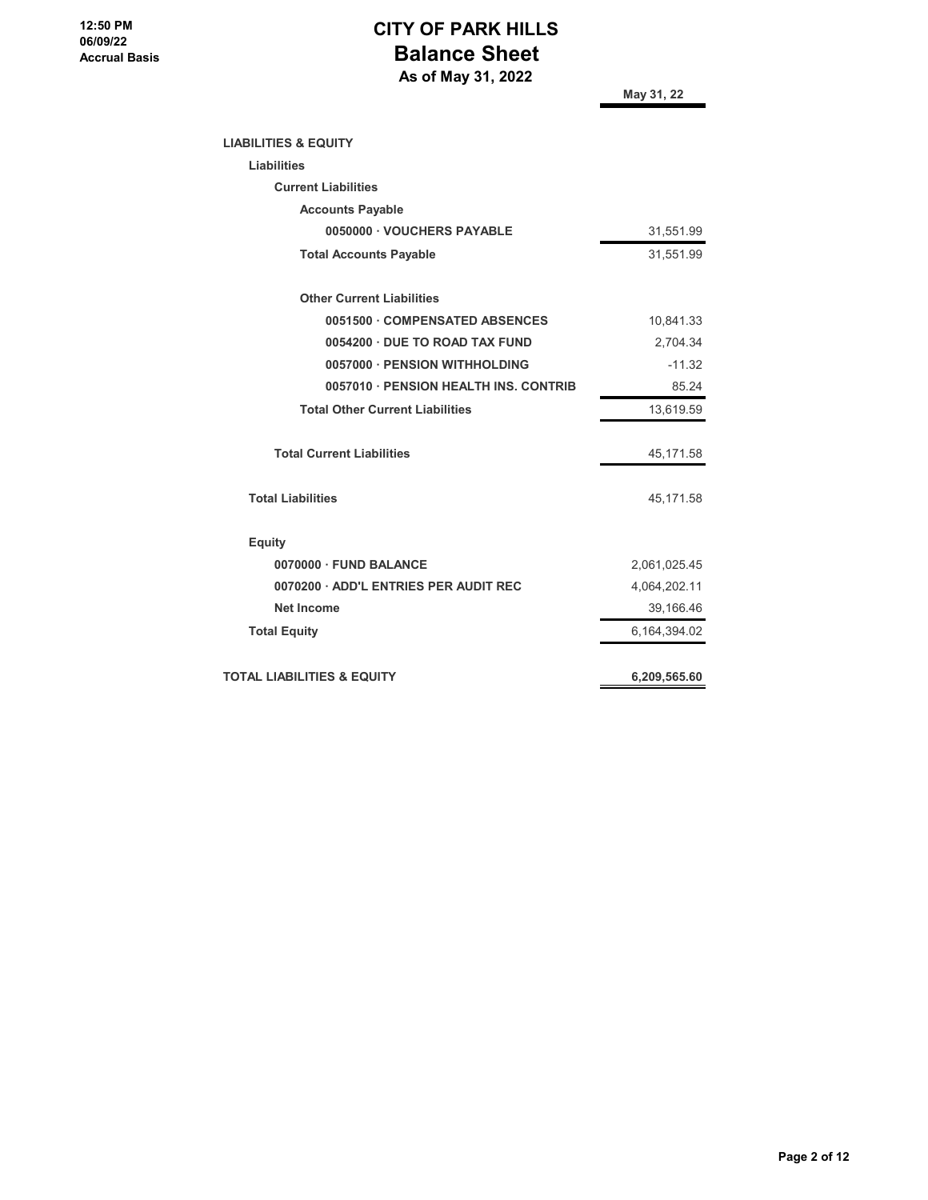## **CITY OF PARK HILLS Balance Sheet As of May 31, 2022**

**May 31, 22**

| <b>LIABILITIES &amp; EQUITY</b>        |              |
|----------------------------------------|--------------|
| <b>Liabilities</b>                     |              |
| <b>Current Liabilities</b>             |              |
| <b>Accounts Payable</b>                |              |
| 0050000 · VOUCHERS PAYABLE             | 31,551.99    |
| <b>Total Accounts Payable</b>          | 31,551.99    |
| <b>Other Current Liabilities</b>       |              |
| 0051500 COMPENSATED ABSENCES           | 10,841.33    |
| 0054200 · DUE TO ROAD TAX FUND         | 2,704.34     |
| 0057000 - PENSION WITHHOLDING          | $-11.32$     |
| 0057010 · PENSION HEALTH INS. CONTRIB  | 85.24        |
| <b>Total Other Current Liabilities</b> | 13,619.59    |
| <b>Total Current Liabilities</b>       | 45,171.58    |
| <b>Total Liabilities</b>               | 45,171.58    |
| <b>Equity</b>                          |              |
| 0070000 · FUND BALANCE                 | 2,061,025.45 |
| 0070200 · ADD'L ENTRIES PER AUDIT REC  | 4,064,202.11 |
| <b>Net Income</b>                      | 39,166.46    |
| <b>Total Equity</b>                    | 6,164,394.02 |
| <b>TOTAL LIABILITIES &amp; EQUITY</b>  | 6,209,565.60 |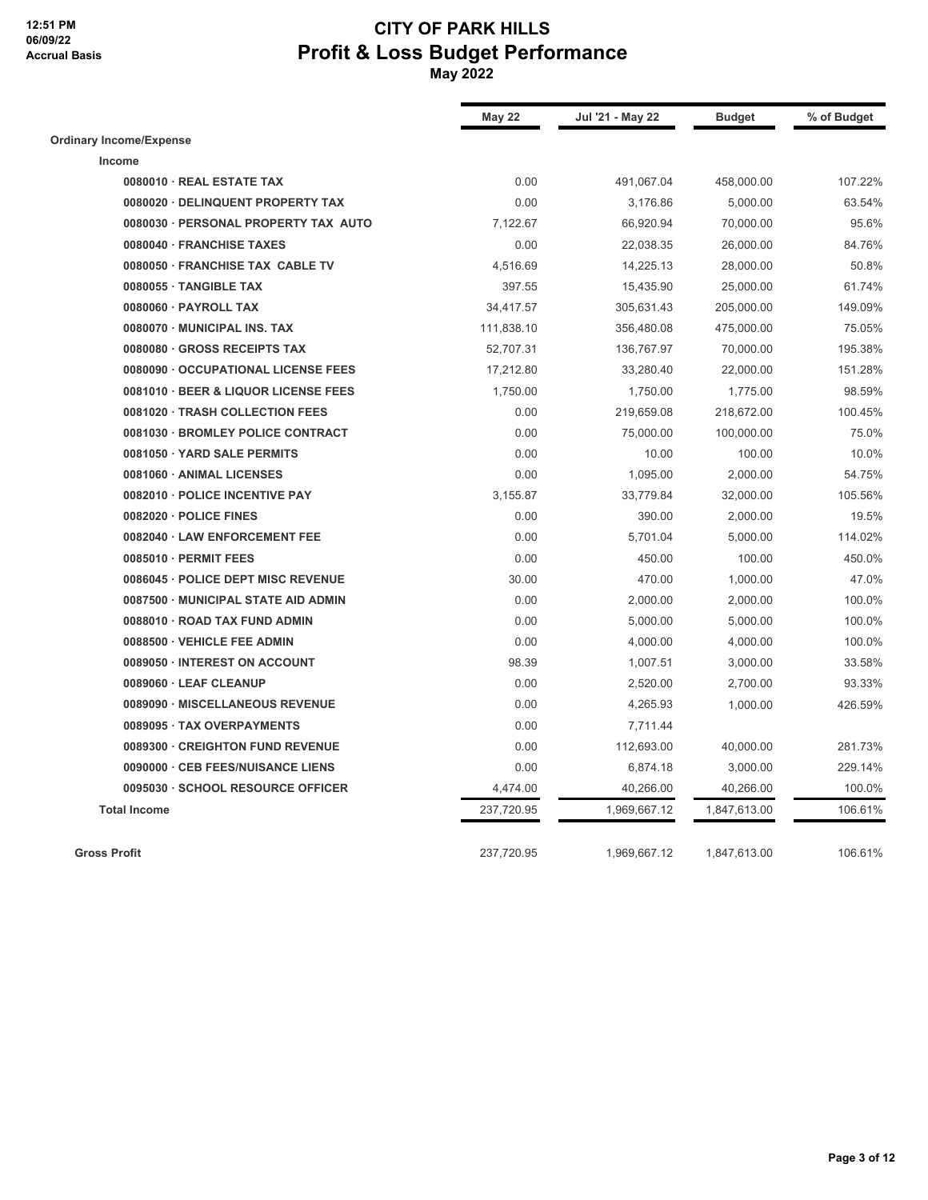|                                      | <b>May 22</b> | Jul '21 - May 22 | <b>Budget</b> | % of Budget |
|--------------------------------------|---------------|------------------|---------------|-------------|
| <b>Ordinary Income/Expense</b>       |               |                  |               |             |
| Income                               |               |                  |               |             |
| 0080010 · REAL ESTATE TAX            | 0.00          | 491,067.04       | 458,000.00    | 107.22%     |
| 0080020 · DELINQUENT PROPERTY TAX    | 0.00          | 3,176.86         | 5,000.00      | 63.54%      |
| 0080030 · PERSONAL PROPERTY TAX AUTO | 7,122.67      | 66,920.94        | 70,000.00     | 95.6%       |
| 0080040 · FRANCHISE TAXES            | 0.00          | 22,038.35        | 26,000.00     | 84.76%      |
| 0080050 · FRANCHISE TAX CABLE TV     | 4,516.69      | 14,225.13        | 28,000.00     | 50.8%       |
| 0080055 · TANGIBLE TAX               | 397.55        | 15,435.90        | 25,000.00     | 61.74%      |
| 0080060 · PAYROLL TAX                | 34,417.57     | 305,631.43       | 205,000.00    | 149.09%     |
| 0080070 MUNICIPAL INS. TAX           | 111,838.10    | 356,480.08       | 475,000.00    | 75.05%      |
| 0080080 · GROSS RECEIPTS TAX         | 52,707.31     | 136,767.97       | 70,000.00     | 195.38%     |
| 0080090 · OCCUPATIONAL LICENSE FEES  | 17,212.80     | 33,280.40        | 22,000.00     | 151.28%     |
| 0081010 · BEER & LIQUOR LICENSE FEES | 1,750.00      | 1,750.00         | 1,775.00      | 98.59%      |
| 0081020 · TRASH COLLECTION FEES      | 0.00          | 219,659.08       | 218,672.00    | 100.45%     |
| 0081030 · BROMLEY POLICE CONTRACT    | 0.00          | 75,000.00        | 100,000.00    | 75.0%       |
| 0081050 · YARD SALE PERMITS          | 0.00          | 10.00            | 100.00        | 10.0%       |
| 0081060 · ANIMAL LICENSES            | 0.00          | 1,095.00         | 2,000.00      | 54.75%      |
| 0082010 · POLICE INCENTIVE PAY       | 3,155.87      | 33,779.84        | 32,000.00     | 105.56%     |
| 0082020 · POLICE FINES               | 0.00          | 390.00           | 2,000.00      | 19.5%       |
| 0082040 · LAW ENFORCEMENT FEE        | 0.00          | 5,701.04         | 5,000.00      | 114.02%     |
| 0085010 · PERMIT FEES                | 0.00          | 450.00           | 100.00        | 450.0%      |
| 0086045 · POLICE DEPT MISC REVENUE   | 30.00         | 470.00           | 1,000.00      | 47.0%       |
| 0087500 · MUNICIPAL STATE AID ADMIN  | 0.00          | 2,000.00         | 2,000.00      | 100.0%      |
| 0088010 · ROAD TAX FUND ADMIN        | 0.00          | 5,000.00         | 5,000.00      | 100.0%      |
| 0088500 · VEHICLE FEE ADMIN          | 0.00          | 4,000.00         | 4,000.00      | 100.0%      |
| 0089050 · INTEREST ON ACCOUNT        | 98.39         | 1,007.51         | 3,000.00      | 33.58%      |
| 0089060 · LEAF CLEANUP               | 0.00          | 2,520.00         | 2,700.00      | 93.33%      |
| 0089090 · MISCELLANEOUS REVENUE      | 0.00          | 4,265.93         | 1,000.00      | 426.59%     |
| 0089095 · TAX OVERPAYMENTS           | 0.00          | 7,711.44         |               |             |
| 0089300 · CREIGHTON FUND REVENUE     | 0.00          | 112,693.00       | 40,000.00     | 281.73%     |
| 0090000 · CEB FEES/NUISANCE LIENS    | 0.00          | 6,874.18         | 3,000.00      | 229.14%     |
| 0095030 · SCHOOL RESOURCE OFFICER    | 4,474.00      | 40,266.00        | 40,266.00     | 100.0%      |
| <b>Total Income</b>                  | 237,720.95    | 1,969,667.12     | 1,847,613.00  | 106.61%     |
| <b>Gross Profit</b>                  | 237,720.95    | 1,969,667.12     | 1,847,613.00  | 106.61%     |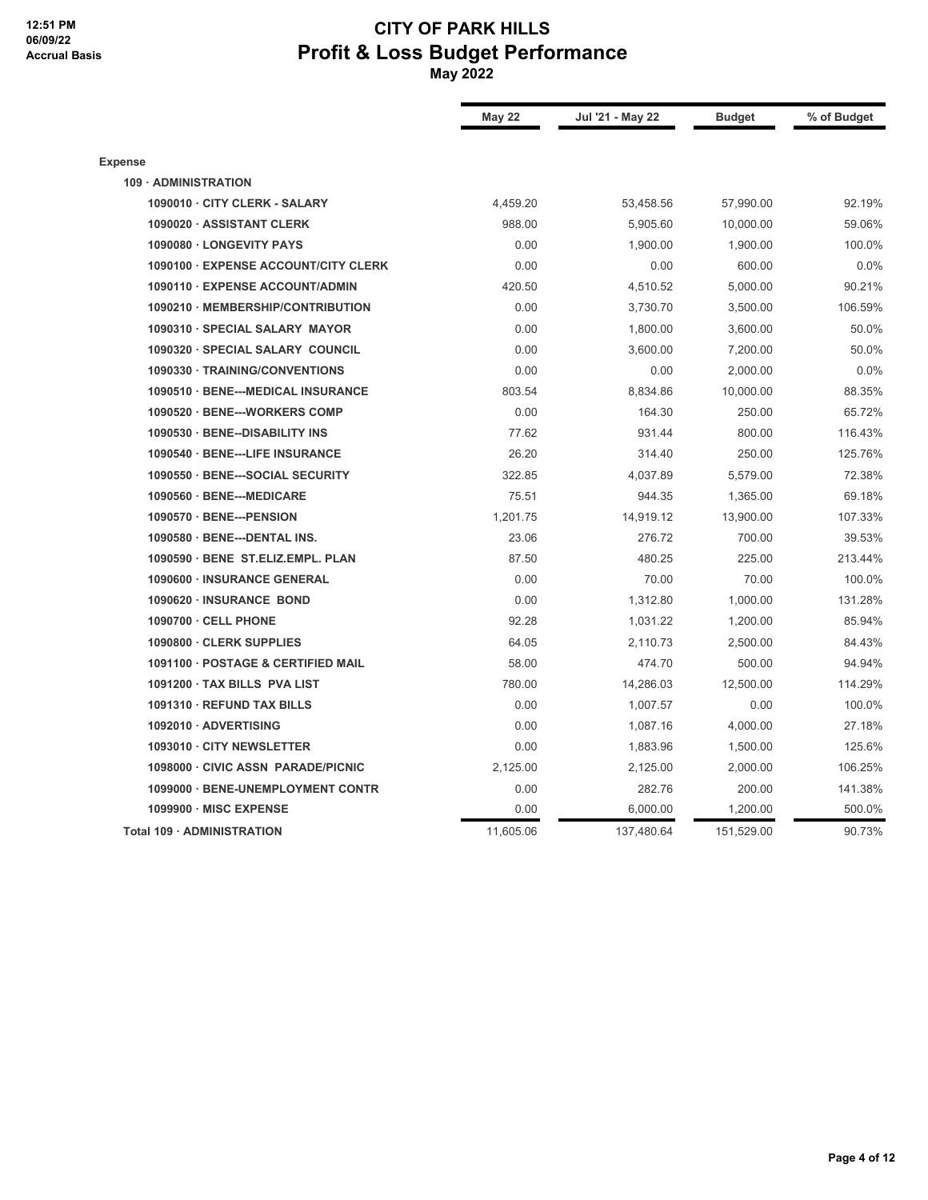#### **12:51 PM 06/09/22 Accrual Basis**

|                                      | <b>May 22</b> | Jul '21 - May 22 | <b>Budget</b> | % of Budget |
|--------------------------------------|---------------|------------------|---------------|-------------|
| <b>Expense</b>                       |               |                  |               |             |
| 109 · ADMINISTRATION                 |               |                  |               |             |
| 1090010 · CITY CLERK - SALARY        | 4,459.20      | 53,458.56        | 57,990.00     | 92.19%      |
| 1090020 · ASSISTANT CLERK            | 988.00        | 5,905.60         | 10,000.00     | 59.06%      |
| 1090080 · LONGEVITY PAYS             | 0.00          | 1,900.00         | 1,900.00      | 100.0%      |
| 1090100 · EXPENSE ACCOUNT/CITY CLERK | 0.00          | 0.00             | 600.00        | 0.0%        |
| 1090110 · EXPENSE ACCOUNT/ADMIN      | 420.50        | 4,510.52         | 5,000.00      | 90.21%      |
| 1090210 · MEMBERSHIP/CONTRIBUTION    | 0.00          | 3,730.70         | 3,500.00      | 106.59%     |
| 1090310 · SPECIAL SALARY MAYOR       | 0.00          | 1,800.00         | 3,600.00      | 50.0%       |
| 1090320 · SPECIAL SALARY COUNCIL     | 0.00          | 3,600.00         | 7,200.00      | 50.0%       |
| 1090330 · TRAINING/CONVENTIONS       | 0.00          | 0.00             | 2,000.00      | 0.0%        |
| 1090510 · BENE---MEDICAL INSURANCE   | 803.54        | 8,834.86         | 10,000.00     | 88.35%      |
| 1090520 · BENE---WORKERS COMP        | 0.00          | 164.30           | 250.00        | 65.72%      |
| 1090530 · BENE--DISABILITY INS       | 77.62         | 931.44           | 800.00        | 116.43%     |
| 1090540 · BENE---LIFE INSURANCE      | 26.20         | 314.40           | 250.00        | 125.76%     |
| 1090550 · BENE---SOCIAL SECURITY     | 322.85        | 4,037.89         | 5,579.00      | 72.38%      |
| 1090560 · BENE---MEDICARE            | 75.51         | 944.35           | 1,365.00      | 69.18%      |
| 1090570 · BENE---PENSION             | 1,201.75      | 14,919.12        | 13,900.00     | 107.33%     |
| 1090580 · BENE---DENTAL INS.         | 23.06         | 276.72           | 700.00        | 39.53%      |
| 1090590 · BENE ST.ELIZ.EMPL. PLAN    | 87.50         | 480.25           | 225.00        | 213.44%     |
| 1090600 · INSURANCE GENERAL          | 0.00          | 70.00            | 70.00         | 100.0%      |
| 1090620 · INSURANCE BOND             | 0.00          | 1,312.80         | 1,000.00      | 131.28%     |
| 1090700 · CELL PHONE                 | 92.28         | 1,031.22         | 1,200.00      | 85.94%      |
| 1090800 · CLERK SUPPLIES             | 64.05         | 2,110.73         | 2,500.00      | 84.43%      |
| 1091100 · POSTAGE & CERTIFIED MAIL   | 58.00         | 474.70           | 500.00        | 94.94%      |
| 1091200 · TAX BILLS PVA LIST         | 780.00        | 14,286.03        | 12,500.00     | 114.29%     |
| 1091310 · REFUND TAX BILLS           | 0.00          | 1,007.57         | 0.00          | 100.0%      |
| 1092010 · ADVERTISING                | 0.00          | 1,087.16         | 4,000.00      | 27.18%      |
| 1093010 · CITY NEWSLETTER            | 0.00          | 1,883.96         | 1,500.00      | 125.6%      |
| 1098000 · CIVIC ASSN PARADE/PICNIC   | 2,125.00      | 2,125.00         | 2,000.00      | 106.25%     |
| 1099000 · BENE-UNEMPLOYMENT CONTR    | 0.00          | 282.76           | 200.00        | 141.38%     |
| 1099900 · MISC EXPENSE               | 0.00          | 6,000.00         | 1,200.00      | 500.0%      |
| Total 109 · ADMINISTRATION           | 11,605.06     | 137,480.64       | 151,529.00    | 90.73%      |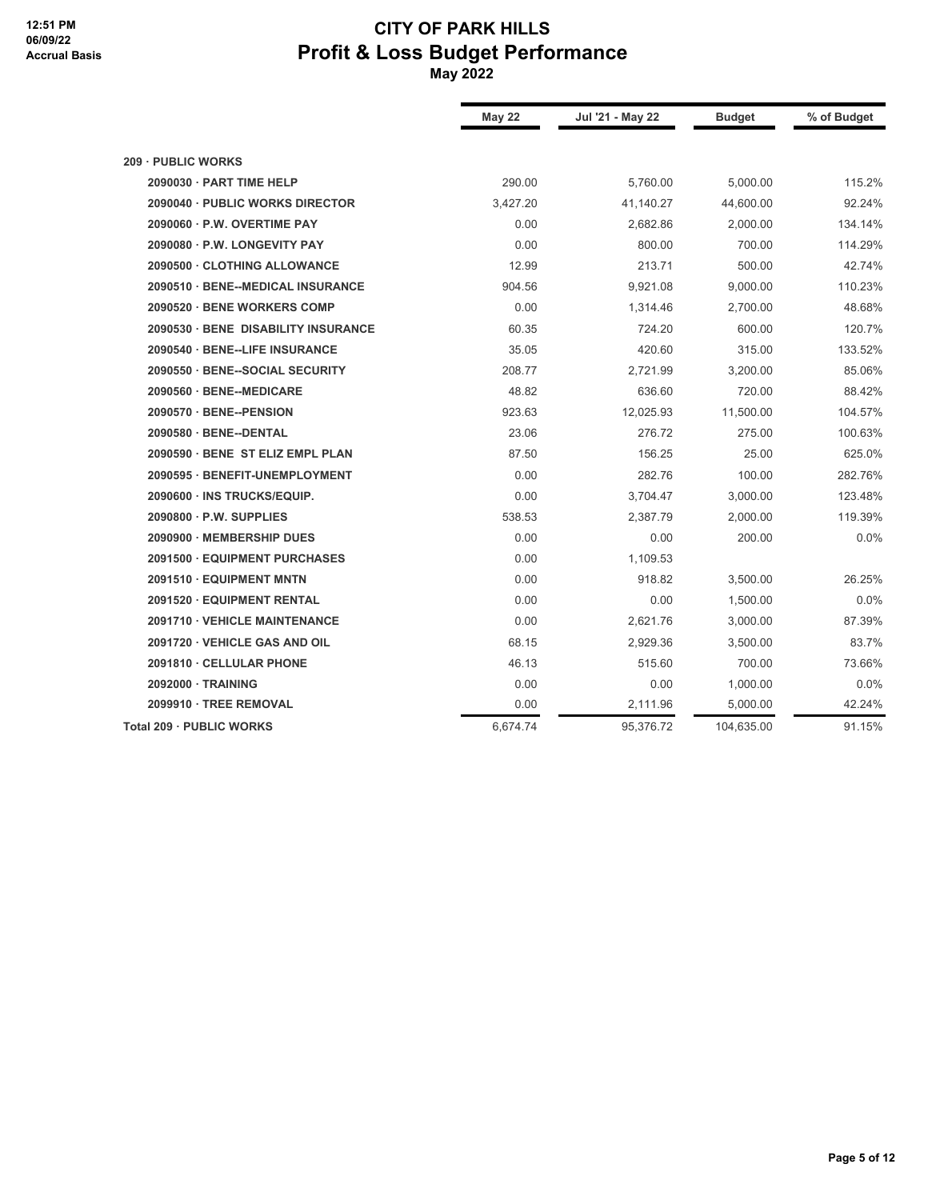|                                     | <b>May 22</b> | Jul '21 - May 22 | <b>Budget</b> | % of Budget |
|-------------------------------------|---------------|------------------|---------------|-------------|
| 209 · PUBLIC WORKS                  |               |                  |               |             |
| 2090030 · PART TIME HELP            | 290.00        | 5,760.00         | 5,000.00      | 115.2%      |
| 2090040 · PUBLIC WORKS DIRECTOR     | 3,427.20      | 41,140.27        | 44,600.00     | 92.24%      |
| 2090060 · P.W. OVERTIME PAY         | 0.00          | 2,682.86         | 2,000.00      | 134.14%     |
| 2090080 · P.W. LONGEVITY PAY        | 0.00          | 800.00           | 700.00        | 114.29%     |
| 2090500 · CLOTHING ALLOWANCE        | 12.99         | 213.71           | 500.00        | 42.74%      |
| 2090510 · BENE--MEDICAL INSURANCE   | 904.56        | 9,921.08         | 9,000.00      | 110.23%     |
| 2090520 · BENE WORKERS COMP         | 0.00          | 1,314.46         | 2,700.00      | 48.68%      |
| 2090530 · BENE DISABILITY INSURANCE | 60.35         | 724.20           | 600.00        | 120.7%      |
| 2090540 · BENE--LIFE INSURANCE      | 35.05         | 420.60           | 315.00        | 133.52%     |
| 2090550 · BENE--SOCIAL SECURITY     | 208.77        | 2,721.99         | 3,200.00      | 85.06%      |
| 2090560 · BENE--MEDICARE            | 48.82         | 636.60           | 720.00        | 88.42%      |
| 2090570 · BENE--PENSION             | 923.63        | 12,025.93        | 11,500.00     | 104.57%     |
| 2090580 · BENE--DENTAL              | 23.06         | 276.72           | 275.00        | 100.63%     |
| 2090590 · BENE ST ELIZ EMPL PLAN    | 87.50         | 156.25           | 25.00         | 625.0%      |
| 2090595 · BENEFIT-UNEMPLOYMENT      | 0.00          | 282.76           | 100.00        | 282.76%     |
| 2090600 · INS TRUCKS/EQUIP.         | 0.00          | 3,704.47         | 3,000.00      | 123.48%     |
| $2090800 \cdot P.W.$ SUPPLIES       | 538.53        | 2,387.79         | 2,000.00      | 119.39%     |
| 2090900 · MEMBERSHIP DUES           | 0.00          | 0.00             | 200.00        | 0.0%        |
| 2091500 · EQUIPMENT PURCHASES       | 0.00          | 1,109.53         |               |             |
| 2091510 · EQUIPMENT MNTN            | 0.00          | 918.82           | 3,500.00      | 26.25%      |
| 2091520 · EQUIPMENT RENTAL          | 0.00          | 0.00             | 1,500.00      | 0.0%        |
| 2091710 · VEHICLE MAINTENANCE       | 0.00          | 2,621.76         | 3,000.00      | 87.39%      |
| 2091720 · VEHICLE GAS AND OIL       | 68.15         | 2,929.36         | 3,500.00      | 83.7%       |
| 2091810 · CELLULAR PHONE            | 46.13         | 515.60           | 700.00        | 73.66%      |
| 2092000 · TRAINING                  | 0.00          | 0.00             | 1,000.00      | 0.0%        |
| 2099910 · TREE REMOVAL              | 0.00          | 2,111.96         | 5,000.00      | 42.24%      |
| Total 209 · PUBLIC WORKS            | 6,674.74      | 95,376.72        | 104,635.00    | 91.15%      |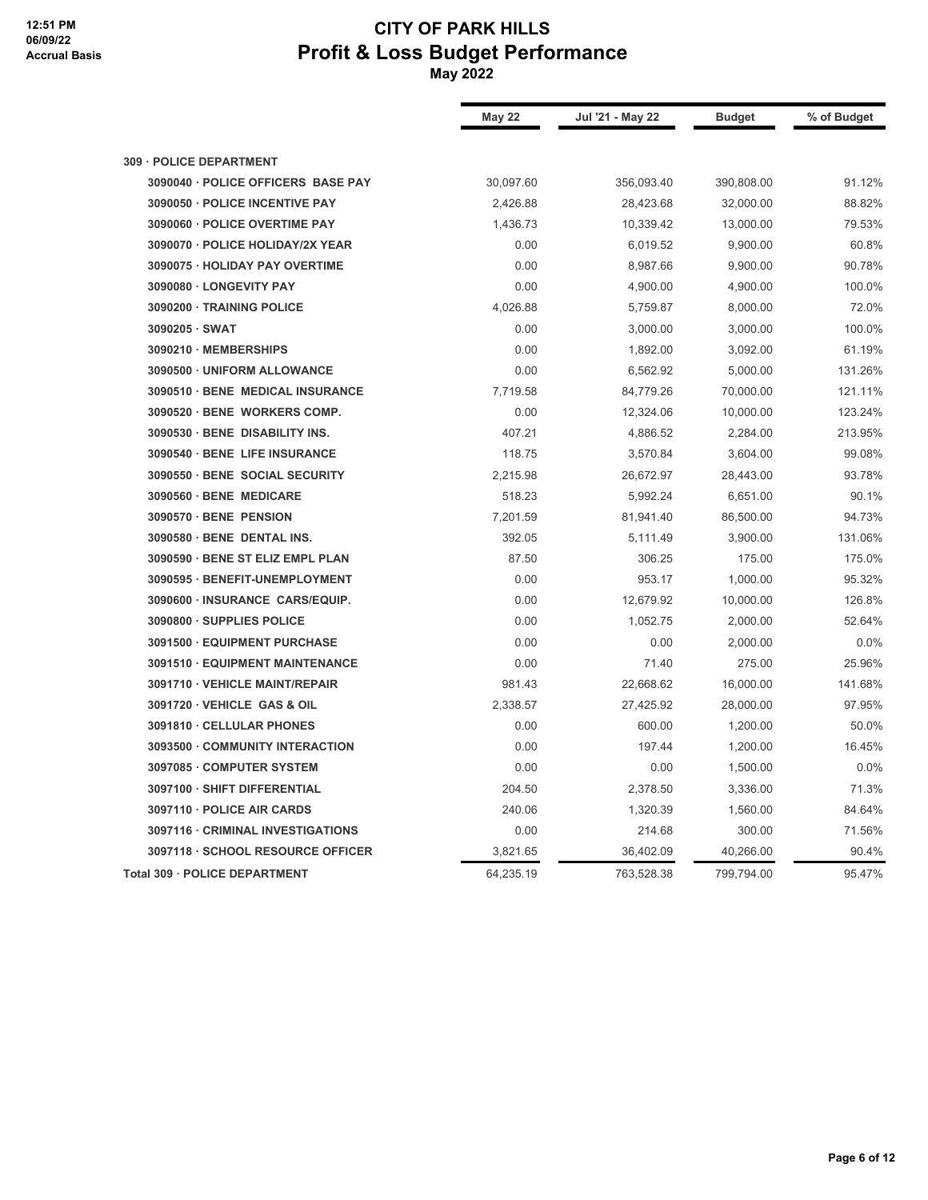|                                    | <b>May 22</b> | Jul '21 - May 22 | <b>Budget</b> | % of Budget |
|------------------------------------|---------------|------------------|---------------|-------------|
| 309 · POLICE DEPARTMENT            |               |                  |               |             |
| 3090040 · POLICE OFFICERS BASE PAY | 30,097.60     | 356,093.40       | 390,808.00    | 91.12%      |
| 3090050 · POLICE INCENTIVE PAY     | 2,426.88      | 28,423.68        | 32,000.00     | 88.82%      |
| 3090060 · POLICE OVERTIME PAY      | 1,436.73      | 10,339.42        | 13,000.00     | 79.53%      |
| 3090070 · POLICE HOLIDAY/2X YEAR   | 0.00          | 6,019.52         | 9,900.00      | 60.8%       |
| 3090075 · HOLIDAY PAY OVERTIME     | 0.00          | 8,987.66         | 9,900.00      | 90.78%      |
| 3090080 · LONGEVITY PAY            | 0.00          | 4,900.00         | 4,900.00      | 100.0%      |
| 3090200 · TRAINING POLICE          | 4,026.88      | 5,759.87         | 8,000.00      | 72.0%       |
| 3090205 · SWAT                     | 0.00          | 3,000.00         | 3,000.00      | 100.0%      |
| 3090210 · MEMBERSHIPS              | 0.00          | 1,892.00         | 3,092.00      | 61.19%      |
| 3090500 · UNIFORM ALLOWANCE        | 0.00          | 6,562.92         | 5,000.00      | 131.26%     |
| 3090510 · BENE MEDICAL INSURANCE   | 7,719.58      | 84,779.26        | 70,000.00     | 121.11%     |
| 3090520 · BENE WORKERS COMP.       | 0.00          | 12,324.06        | 10,000.00     | 123.24%     |
| 3090530 · BENE DISABILITY INS.     | 407.21        | 4,886.52         | 2,284.00      | 213.95%     |
| 3090540 · BENE LIFE INSURANCE      | 118.75        | 3,570.84         | 3,604.00      | 99.08%      |
| 3090550 · BENE SOCIAL SECURITY     | 2,215.98      | 26,672.97        | 28,443.00     | 93.78%      |
| 3090560 · BENE MEDICARE            | 518.23        | 5,992.24         | 6,651.00      | 90.1%       |
| 3090570 · BENE PENSION             | 7,201.59      | 81,941.40        | 86,500.00     | 94.73%      |
| 3090580 · BENE DENTAL INS.         | 392.05        | 5,111.49         | 3,900.00      | 131.06%     |
| 3090590 · BENE ST ELIZ EMPL PLAN   | 87.50         | 306.25           | 175.00        | 175.0%      |
| 3090595 · BENEFIT-UNEMPLOYMENT     | 0.00          | 953.17           | 1,000.00      | 95.32%      |
| 3090600 · INSURANCE CARS/EQUIP.    | 0.00          | 12,679.92        | 10,000.00     | 126.8%      |
| 3090800 · SUPPLIES POLICE          | 0.00          | 1,052.75         | 2,000.00      | 52.64%      |
| 3091500 · EQUIPMENT PURCHASE       | 0.00          | 0.00             | 2,000.00      | 0.0%        |
| 3091510 · EQUIPMENT MAINTENANCE    | 0.00          | 71.40            | 275.00        | 25.96%      |
| 3091710 · VEHICLE MAINT/REPAIR     | 981.43        | 22,668.62        | 16,000.00     | 141.68%     |
| 3091720 · VEHICLE GAS & OIL        | 2,338.57      | 27,425.92        | 28,000.00     | 97.95%      |
| 3091810 · CELLULAR PHONES          | 0.00          | 600.00           | 1,200.00      | 50.0%       |
| 3093500 · COMMUNITY INTERACTION    | 0.00          | 197.44           | 1,200.00      | 16.45%      |
| 3097085 · COMPUTER SYSTEM          | 0.00          | 0.00             | 1,500.00      | 0.0%        |
| 3097100 · SHIFT DIFFERENTIAL       | 204.50        | 2,378.50         | 3,336.00      | 71.3%       |
| 3097110 · POLICE AIR CARDS         | 240.06        | 1,320.39         | 1,560.00      | 84.64%      |
| 3097116 · CRIMINAL INVESTIGATIONS  | 0.00          | 214.68           | 300.00        | 71.56%      |
| 3097118 · SCHOOL RESOURCE OFFICER  | 3,821.65      | 36,402.09        | 40,266.00     | 90.4%       |
| Total 309 · POLICE DEPARTMENT      | 64,235.19     | 763,528.38       | 799,794.00    | 95.47%      |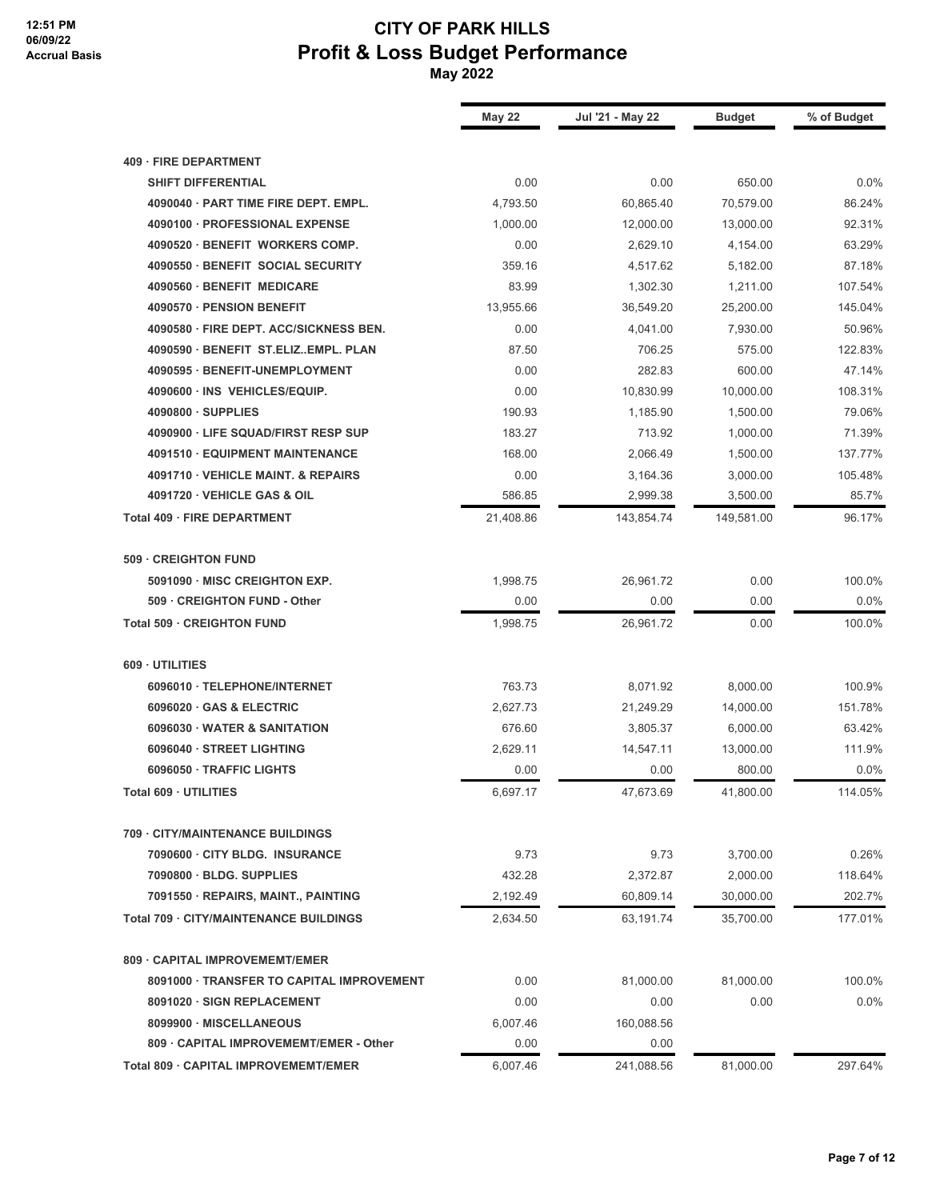|                                                    | <b>May 22</b> | Jul '21 - May 22 | <b>Budget</b> | % of Budget |
|----------------------------------------------------|---------------|------------------|---------------|-------------|
|                                                    |               |                  |               |             |
| 409 · FIRE DEPARTMENT<br><b>SHIFT DIFFERENTIAL</b> | 0.00          | 0.00             | 650.00        | 0.0%        |
| 4090040 · PART TIME FIRE DEPT. EMPL.               | 4,793.50      | 60,865.40        | 70,579.00     | 86.24%      |
| 4090100 · PROFESSIONAL EXPENSE                     | 1,000.00      | 12,000.00        | 13,000.00     | 92.31%      |
| 4090520 · BENEFIT WORKERS COMP.                    | 0.00          | 2,629.10         | 4,154.00      | 63.29%      |
| 4090550 · BENEFIT SOCIAL SECURITY                  | 359.16        | 4,517.62         | 5,182.00      | 87.18%      |
| 4090560 · BENEFIT MEDICARE                         | 83.99         | 1,302.30         | 1,211.00      | 107.54%     |
| 4090570 · PENSION BENEFIT                          | 13,955.66     | 36,549.20        | 25,200.00     | 145.04%     |
| 4090580 · FIRE DEPT. ACC/SICKNESS BEN.             | 0.00          | 4,041.00         | 7,930.00      | 50.96%      |
| 4090590 · BENEFIT ST.ELIZEMPL. PLAN                | 87.50         | 706.25           | 575.00        | 122.83%     |
| 4090595 · BENEFIT-UNEMPLOYMENT                     | 0.00          | 282.83           | 600.00        | 47.14%      |
| 4090600 · INS VEHICLES/EQUIP.                      | 0.00          | 10,830.99        | 10,000.00     | 108.31%     |
| 4090800 · SUPPLIES                                 | 190.93        | 1,185.90         | 1,500.00      | 79.06%      |
| 4090900 · LIFE SQUAD/FIRST RESP SUP                | 183.27        | 713.92           | 1,000.00      | 71.39%      |
| 4091510 · EQUIPMENT MAINTENANCE                    | 168.00        | 2,066.49         | 1,500.00      | 137.77%     |
| 4091710 · VEHICLE MAINT. & REPAIRS                 | 0.00          | 3,164.36         | 3,000.00      | 105.48%     |
| 4091720 · VEHICLE GAS & OIL                        | 586.85        | 2,999.38         | 3,500.00      | 85.7%       |
| Total 409 · FIRE DEPARTMENT                        | 21,408.86     | 143,854.74       | 149,581.00    | 96.17%      |
| 509 · CREIGHTON FUND                               |               |                  |               |             |
| 5091090 · MISC CREIGHTON EXP.                      | 1,998.75      | 26,961.72        | 0.00          | 100.0%      |
| 509 · CREIGHTON FUND - Other                       | 0.00          | 0.00             | 0.00          | 0.0%        |
| Total 509 · CREIGHTON FUND                         | 1,998.75      | 26,961.72        | 0.00          | 100.0%      |
| 609 · UTILITIES                                    |               |                  |               |             |
| 6096010 · TELEPHONE/INTERNET                       | 763.73        | 8,071.92         | 8,000.00      | 100.9%      |
| 6096020 · GAS & ELECTRIC                           | 2,627.73      | 21,249.29        | 14,000.00     | 151.78%     |
| 6096030 · WATER & SANITATION                       | 676.60        | 3,805.37         | 6,000.00      | 63.42%      |
| 6096040 · STREET LIGHTING                          | 2,629.11      | 14,547.11        | 13,000.00     | 111.9%      |
| 6096050 · TRAFFIC LIGHTS                           | 0.00          | 0.00             | 800.00        | 0.0%        |
| Total 609 · UTILITIES                              | 6,697.17      | 47,673.69        | 41,800.00     | 114.05%     |
| 709 - CITY/MAINTENANCE BUILDINGS                   |               |                  |               |             |
| 7090600 · CITY BLDG. INSURANCE                     | 9.73          | 9.73             | 3,700.00      | 0.26%       |
| 7090800 · BLDG. SUPPLIES                           | 432.28        | 2,372.87         | 2,000.00      | 118.64%     |
| 7091550 · REPAIRS, MAINT., PAINTING                | 2,192.49      | 60,809.14        | 30,000.00     | 202.7%      |
| Total 709 · CITY/MAINTENANCE BUILDINGS             | 2,634.50      | 63,191.74        | 35,700.00     | 177.01%     |
| 809 - CAPITAL IMPROVEMEMT/EMER                     |               |                  |               |             |
| 8091000 · TRANSFER TO CAPITAL IMPROVEMENT          | 0.00          | 81,000.00        | 81,000.00     | 100.0%      |
| 8091020 · SIGN REPLACEMENT                         | 0.00          | 0.00             | 0.00          | 0.0%        |
| 8099900 · MISCELLANEOUS                            | 6,007.46      | 160,088.56       |               |             |
| 809 · CAPITAL IMPROVEMEMT/EMER - Other             | 0.00          | 0.00             |               |             |
| Total 809 · CAPITAL IMPROVEMEMT/EMER               | 6,007.46      | 241,088.56       | 81,000.00     | 297.64%     |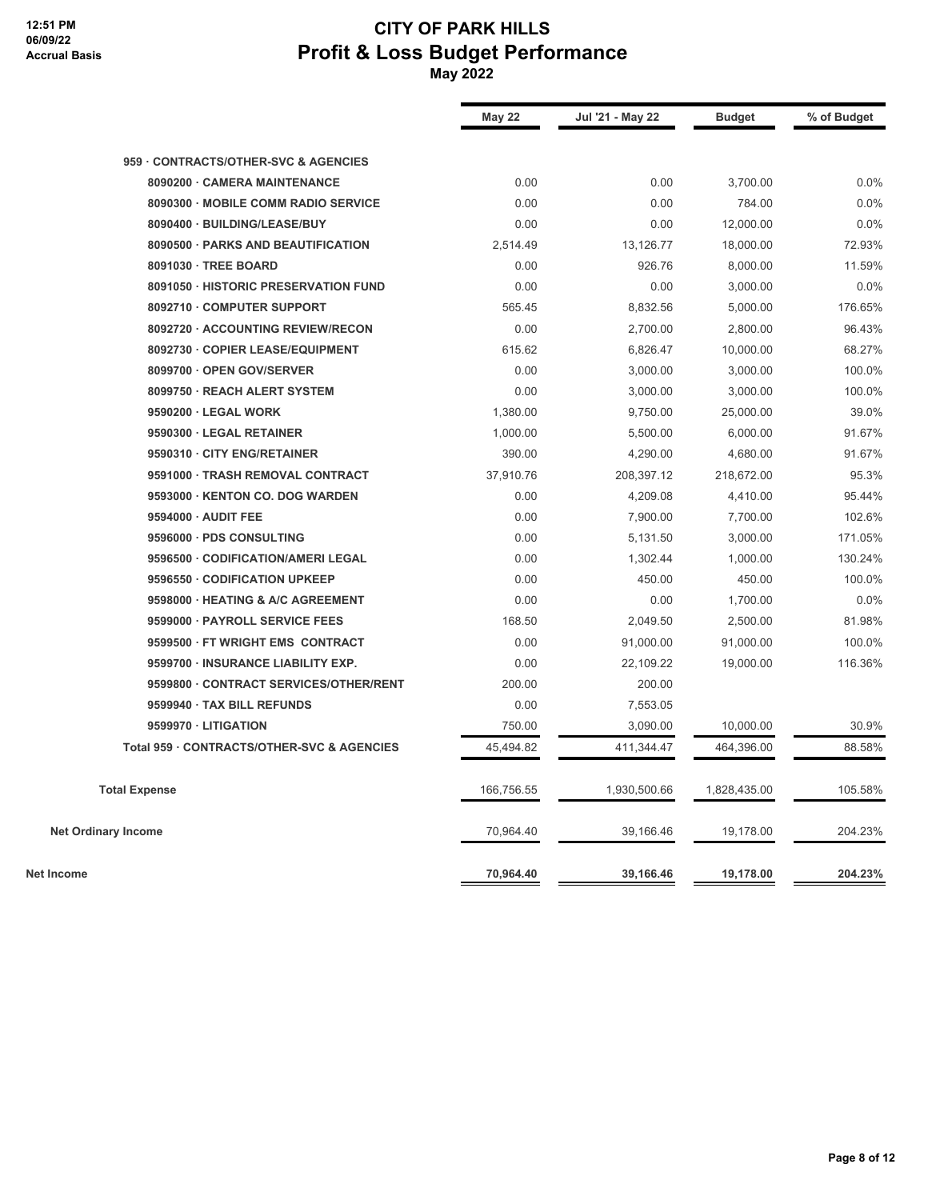|                                            | <b>May 22</b> | Jul '21 - May 22 | <b>Budget</b> | % of Budget |
|--------------------------------------------|---------------|------------------|---------------|-------------|
| 959 CONTRACTS/OTHER-SVC & AGENCIES         |               |                  |               |             |
| 8090200 · CAMERA MAINTENANCE               | 0.00          | 0.00             | 3,700.00      | 0.0%        |
| 8090300 · MOBILE COMM RADIO SERVICE        | 0.00          | 0.00             | 784.00        | 0.0%        |
| 8090400 · BUILDING/LEASE/BUY               | 0.00          | 0.00             | 12,000.00     | 0.0%        |
| 8090500 · PARKS AND BEAUTIFICATION         | 2,514.49      | 13,126.77        | 18,000.00     | 72.93%      |
| 8091030 · TREE BOARD                       | 0.00          | 926.76           | 8,000.00      | 11.59%      |
| 8091050 · HISTORIC PRESERVATION FUND       | 0.00          | 0.00             | 3,000.00      | 0.0%        |
| 8092710 · COMPUTER SUPPORT                 | 565.45        | 8,832.56         | 5,000.00      | 176.65%     |
| 8092720 · ACCOUNTING REVIEW/RECON          | 0.00          | 2,700.00         | 2,800.00      | 96.43%      |
| 8092730 · COPIER LEASE/EQUIPMENT           | 615.62        | 6,826.47         | 10,000.00     | 68.27%      |
| 8099700 · OPEN GOV/SERVER                  | 0.00          | 3,000.00         | 3,000.00      | 100.0%      |
| 8099750 · REACH ALERT SYSTEM               | 0.00          | 3,000.00         | 3,000.00      | 100.0%      |
| 9590200 · LEGAL WORK                       | 1,380.00      | 9,750.00         | 25,000.00     | 39.0%       |
| 9590300 · LEGAL RETAINER                   | 1,000.00      | 5,500.00         | 6,000.00      | 91.67%      |
| 9590310 · CITY ENG/RETAINER                | 390.00        | 4,290.00         | 4,680.00      | 91.67%      |
| 9591000 · TRASH REMOVAL CONTRACT           | 37,910.76     | 208,397.12       | 218,672.00    | 95.3%       |
| 9593000 · KENTON CO. DOG WARDEN            | 0.00          | 4,209.08         | 4,410.00      | 95.44%      |
| 9594000 · AUDIT FEE                        | 0.00          | 7,900.00         | 7,700.00      | 102.6%      |
| 9596000 · PDS CONSULTING                   | 0.00          | 5,131.50         | 3,000.00      | 171.05%     |
| 9596500 · CODIFICATION/AMERI LEGAL         | 0.00          | 1,302.44         | 1,000.00      | 130.24%     |
| 9596550 · CODIFICATION UPKEEP              | 0.00          | 450.00           | 450.00        | 100.0%      |
| 9598000 · HEATING & A/C AGREEMENT          | 0.00          | 0.00             | 1,700.00      | 0.0%        |
| 9599000 · PAYROLL SERVICE FEES             | 168.50        | 2,049.50         | 2,500.00      | 81.98%      |
| 9599500 · FT WRIGHT EMS CONTRACT           | 0.00          | 91,000.00        | 91,000.00     | 100.0%      |
| 9599700 · INSURANCE LIABILITY EXP.         | 0.00          | 22,109.22        | 19,000.00     | 116.36%     |
| 9599800 · CONTRACT SERVICES/OTHER/RENT     | 200.00        | 200.00           |               |             |
| 9599940 · TAX BILL REFUNDS                 | 0.00          | 7,553.05         |               |             |
| 9599970 · LITIGATION                       | 750.00        | 3,090.00         | 10,000.00     | 30.9%       |
| Total 959 · CONTRACTS/OTHER-SVC & AGENCIES | 45,494.82     | 411,344.47       | 464,396.00    | 88.58%      |
| <b>Total Expense</b>                       | 166,756.55    | 1,930,500.66     | 1,828,435.00  | 105.58%     |
| <b>Net Ordinary Income</b>                 | 70,964.40     | 39,166.46        | 19,178.00     | 204.23%     |
| Net Income                                 | 70,964.40     | 39,166.46        | 19,178.00     | 204.23%     |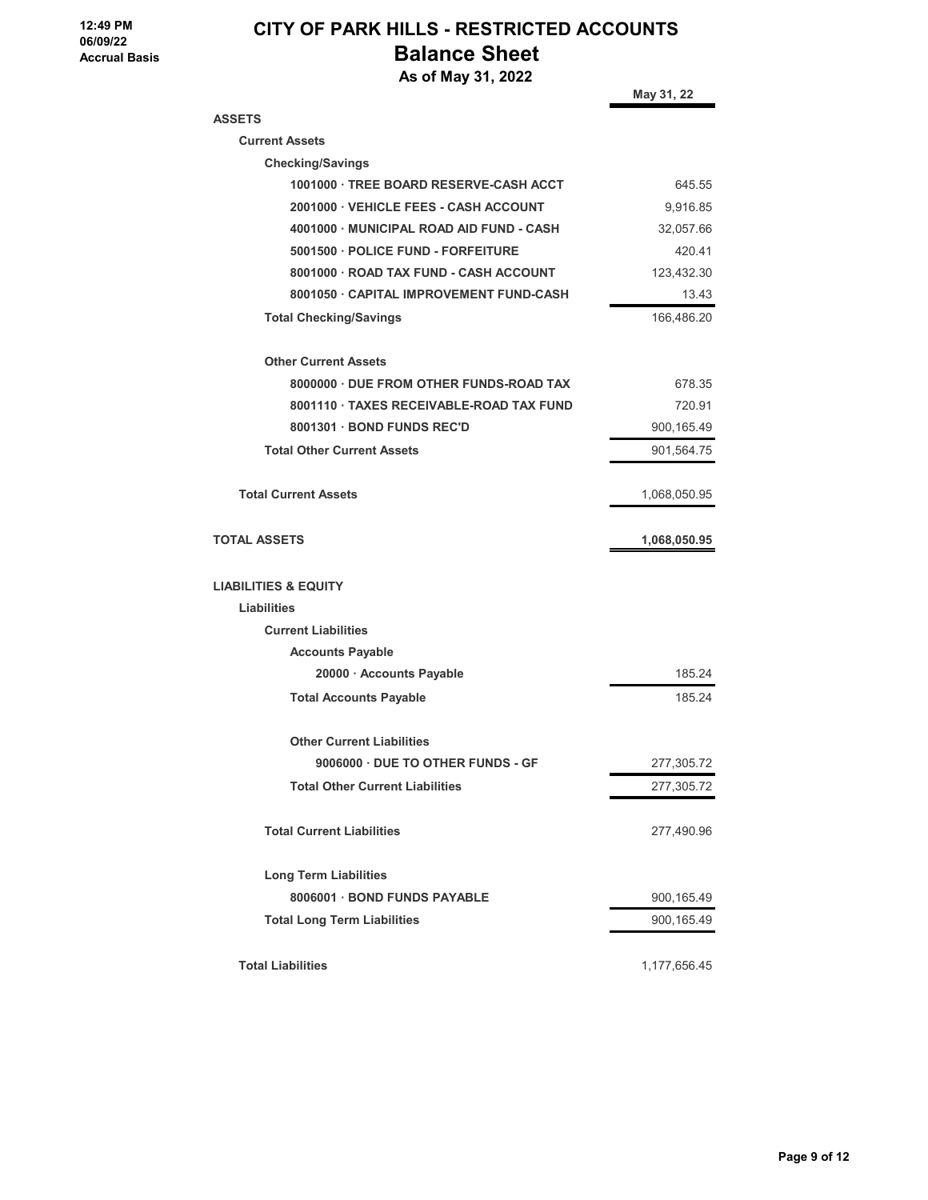# **CITY OF PARK HILLS - RESTRICTED ACCOUNTS Balance Sheet**

 **As of May 31, 2022**

|                                          | May 31, 22   |
|------------------------------------------|--------------|
| <b>ASSETS</b>                            |              |
| <b>Current Assets</b>                    |              |
| <b>Checking/Savings</b>                  |              |
| 1001000 TREE BOARD RESERVE-CASH ACCT     | 645.55       |
| 2001000 · VEHICLE FEES - CASH ACCOUNT    | 9,916.85     |
| 4001000 MUNICIPAL ROAD AID FUND - CASH   | 32,057.66    |
| 5001500 · POLICE FUND - FORFEITURE       | 420.41       |
| 8001000 · ROAD TAX FUND - CASH ACCOUNT   | 123,432.30   |
| 8001050 · CAPITAL IMPROVEMENT FUND-CASH  | 13.43        |
| <b>Total Checking/Savings</b>            | 166,486.20   |
| <b>Other Current Assets</b>              |              |
| 8000000 · DUE FROM OTHER FUNDS-ROAD TAX  | 678.35       |
| 8001110 · TAXES RECEIVABLE-ROAD TAX FUND | 720.91       |
| 8001301 BOND FUNDS REC'D                 | 900,165.49   |
| <b>Total Other Current Assets</b>        | 901,564.75   |
| <b>Total Current Assets</b>              | 1,068,050.95 |
| <b>TOTAL ASSETS</b>                      | 1,068,050.95 |
| <b>LIABILITIES &amp; EQUITY</b>          |              |
| <b>Liabilities</b>                       |              |
| <b>Current Liabilities</b>               |              |
| <b>Accounts Payable</b>                  |              |
| 20000 · Accounts Payable                 | 185.24       |
| <b>Total Accounts Payable</b>            | 185.24       |
| <b>Other Current Liabilities</b>         |              |
| 9006000 · DUE TO OTHER FUNDS - GF        | 277,305.72   |
| <b>Total Other Current Liabilities</b>   | 277,305.72   |
| <b>Total Current Liabilities</b>         | 277,490.96   |
| <b>Long Term Liabilities</b>             |              |
| 8006001 · BOND FUNDS PAYABLE             | 900,165.49   |
| <b>Total Long Term Liabilities</b>       | 900,165.49   |
| <b>Total Liabilities</b>                 | 1,177,656.45 |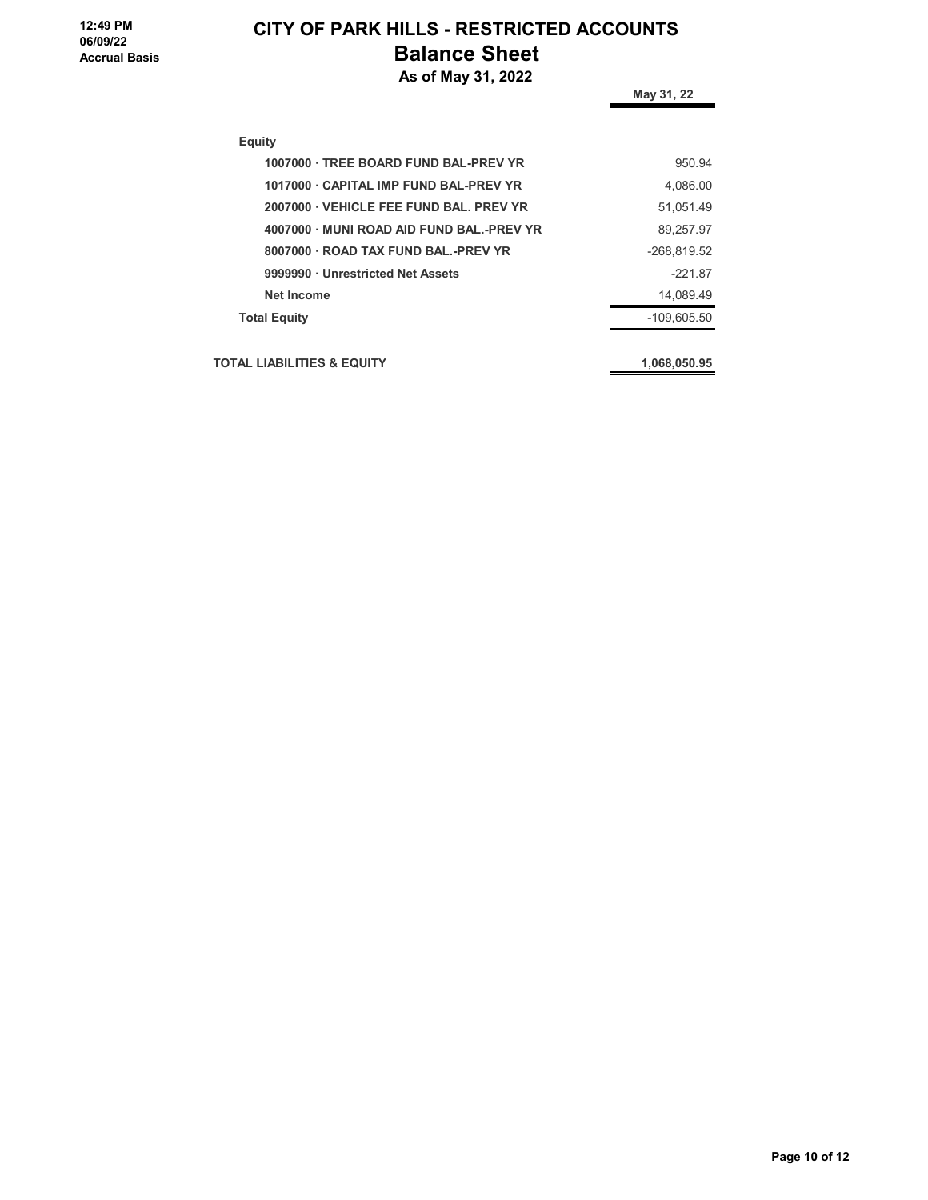**12:49 PM 06/09/22 Accrual Basis**

## **CITY OF PARK HILLS - RESTRICTED ACCOUNTS Balance Sheet**

 **As of May 31, 2022**

| $\cdots$ , $\cdots$ , $\cdots$ , $\cdots$ | May 31, 22    |
|-------------------------------------------|---------------|
| <b>Equity</b>                             |               |
| 1007000 · TREE BOARD FUND BAL-PREV YR     | 950.94        |
| 1017000 CAPITAL IMP FUND BAL-PREV YR      | 4,086.00      |
| 2007000 VEHICLE FEE FUND BAL, PREV YR     | 51,051.49     |
| 4007000 MUNI ROAD AID FUND BAL.-PREV YR   | 89,257.97     |
| 8007000 ROAD TAX FUND BAL.-PREV YR        | -268,819.52   |
| 9999990 · Unrestricted Net Assets         | $-221.87$     |
| <b>Net Income</b>                         | 14.089.49     |
| <b>Total Equity</b>                       | $-109.605.50$ |
| <b>TOTAL LIABILITIES &amp; EQUITY</b>     | 1,068,050.95  |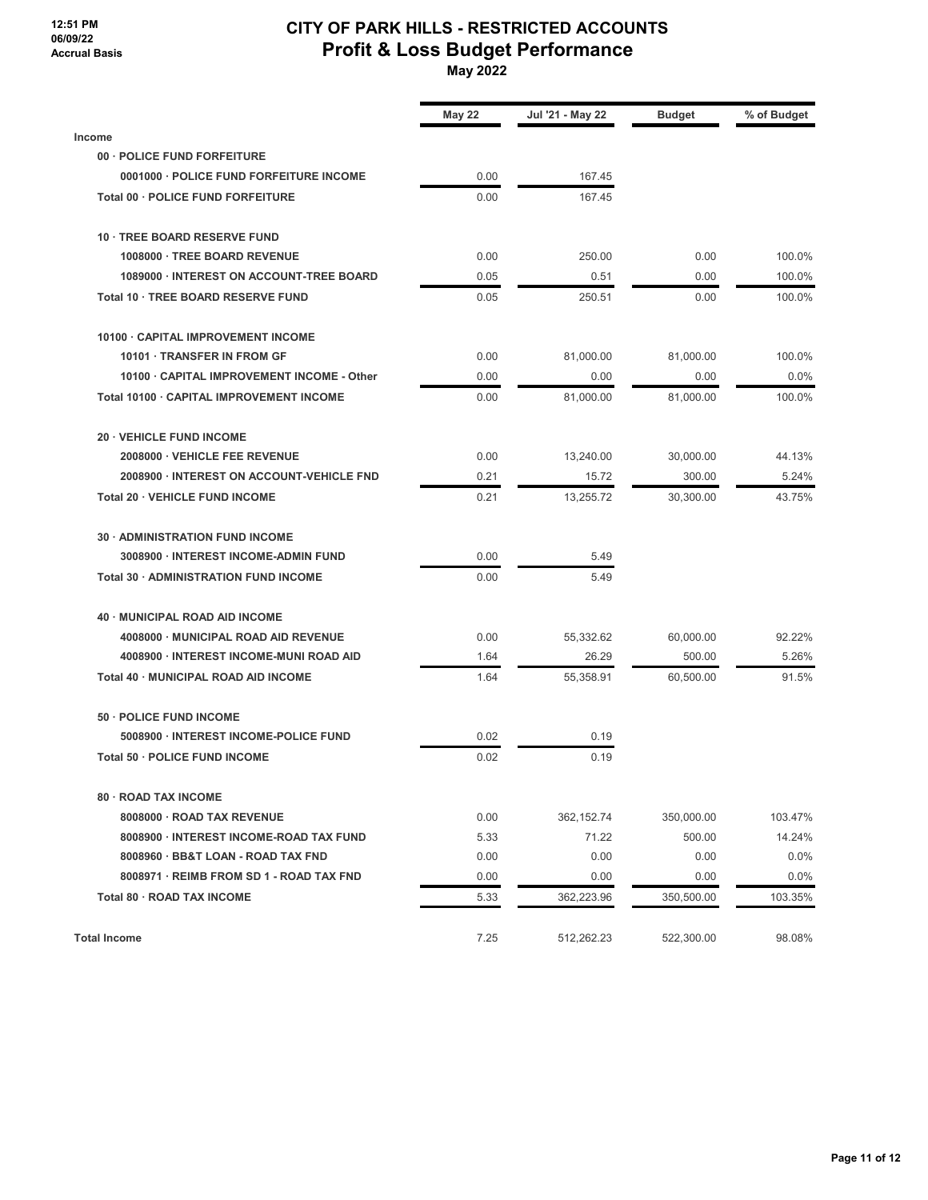#### **12:51 PM 06/09/22 Accrual Basis**

#### **CITY OF PARK HILLS - RESTRICTED ACCOUNTS Profit & Loss Budget Performance May 2022**

|                                            | <b>May 22</b> | Jul '21 - May 22 | <b>Budget</b> | % of Budget |
|--------------------------------------------|---------------|------------------|---------------|-------------|
| <b>Income</b>                              |               |                  |               |             |
| 00 · POLICE FUND FORFEITURE                |               |                  |               |             |
| 0001000 · POLICE FUND FORFEITURE INCOME    | 0.00          | 167.45           |               |             |
| Total 00 · POLICE FUND FORFEITURE          | 0.00          | 167.45           |               |             |
| 10 · TREE BOARD RESERVE FUND               |               |                  |               |             |
| 1008000 · TREE BOARD REVENUE               | 0.00          | 250.00           | 0.00          | 100.0%      |
| 1089000 · INTEREST ON ACCOUNT-TREE BOARD   | 0.05          | 0.51             | 0.00          | 100.0%      |
| Total 10 · TREE BOARD RESERVE FUND         | 0.05          | 250.51           | 0.00          | 100.0%      |
| 10100 CAPITAL IMPROVEMENT INCOME           |               |                  |               |             |
| 10101 · TRANSFER IN FROM GF                | 0.00          | 81,000.00        | 81,000.00     | 100.0%      |
| 10100 · CAPITAL IMPROVEMENT INCOME - Other | 0.00          | 0.00             | 0.00          | 0.0%        |
| Total 10100 · CAPITAL IMPROVEMENT INCOME   | 0.00          | 81,000.00        | 81,000.00     | 100.0%      |
| 20 · VEHICLE FUND INCOME                   |               |                  |               |             |
| 2008000 · VEHICLE FEE REVENUE              | 0.00          | 13,240.00        | 30.000.00     | 44.13%      |
| 2008900 · INTEREST ON ACCOUNT-VEHICLE FND  | 0.21          | 15.72            | 300.00        | 5.24%       |
| <b>Total 20 · VEHICLE FUND INCOME</b>      | 0.21          | 13,255.72        | 30,300.00     | 43.75%      |
| 30 · ADMINISTRATION FUND INCOME            |               |                  |               |             |
| 3008900 · INTEREST INCOME-ADMIN FUND       | 0.00          | 5.49             |               |             |
| Total 30 · ADMINISTRATION FUND INCOME      | 0.00          | 5.49             |               |             |
| 40 · MUNICIPAL ROAD AID INCOME             |               |                  |               |             |
| 4008000 · MUNICIPAL ROAD AID REVENUE       | 0.00          | 55,332.62        | 60,000.00     | 92.22%      |
| 4008900 · INTEREST INCOME-MUNI ROAD AID    | 1.64          | 26.29            | 500.00        | 5.26%       |
| Total 40 · MUNICIPAL ROAD AID INCOME       | 1.64          | 55,358.91        | 60,500.00     | 91.5%       |
| 50 · POLICE FUND INCOME                    |               |                  |               |             |
| 5008900 · INTEREST INCOME-POLICE FUND      | 0.02          | 0.19             |               |             |
| Total 50 · POLICE FUND INCOME              | 0.02          | 0.19             |               |             |
| 80 · ROAD TAX INCOME                       |               |                  |               |             |
| 8008000 · ROAD TAX REVENUE                 | 0.00          | 362,152.74       | 350,000.00    | 103.47%     |
| 8008900 · INTEREST INCOME-ROAD TAX FUND    | 5.33          | 71.22            | 500.00        | 14.24%      |
| 8008960 · BB&T LOAN - ROAD TAX FND         | 0.00          | 0.00             | 0.00          | 0.0%        |
| 8008971 · REIMB FROM SD 1 - ROAD TAX FND   | 0.00          | 0.00             | 0.00          | 0.0%        |
| Total 80 · ROAD TAX INCOME                 | 5.33          | 362,223.96       | 350,500.00    | 103.35%     |
| <b>Total Income</b>                        | 7.25          | 512,262.23       | 522,300.00    | 98.08%      |